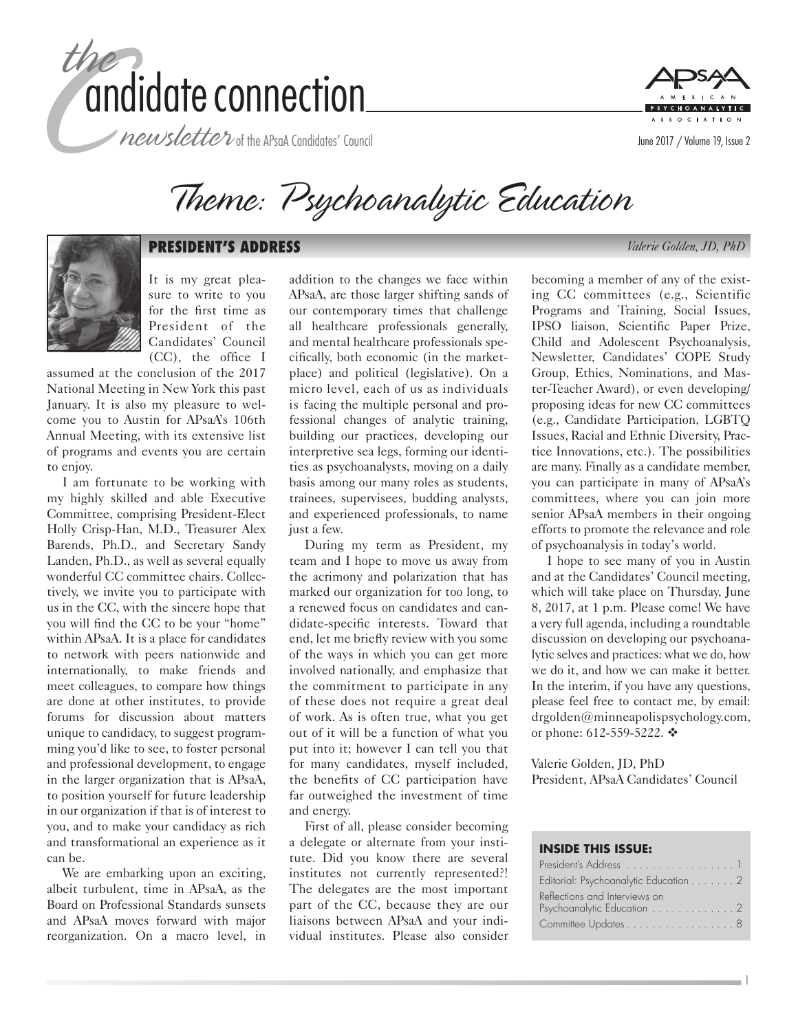

 $^{\prime}$  newsletter of the APsaA Candidates' Council



Theme: Psychoanalytic Education



#### **PRESIDENT'S ADDRESS** *Valerie Golden, JD, PhD*

It is my great pleasure to write to you for the first time as President of the Candidates' Council (CC), the office I

assumed at the conclusion of the 2017 National Meeting in New York this past January. It is also my pleasure to welcome you to Austin for APsaA's 106th Annual Meeting, with its extensive list of programs and events you are certain to enjoy.

I am fortunate to be working with my highly skilled and able Executive Committee, comprising President-Elect Holly Crisp-Han, M.D., Treasurer Alex Barends, Ph.D., and Secretary Sandy Landen, Ph.D., as well as several equally wonderful CC committee chairs. Collectively, we invite you to participate with us in the CC, with the sincere hope that you will find the CC to be your "home" within APsaA. It is a place for candidates to network with peers nationwide and internationally, to make friends and meet colleagues, to compare how things are done at other institutes, to provide forums for discussion about matters unique to candidacy, to suggest programming you'd like to see, to foster personal and professional development, to engage in the larger organization that is APsaA, to position yourself for future leadership in our organization if that is of interest to you, and to make your candidacy as rich and transformational an experience as it can be.

We are embarking upon an exciting, albeit turbulent, time in APsaA, as the Board on Professional Standards sunsets and APsaA moves forward with major reorganization. On a macro level, in

addition to the changes we face within APsaA, are those larger shifting sands of our contemporary times that challenge all healthcare professionals generally, and mental healthcare professionals specifically, both economic (in the marketplace) and political (legislative). On a micro level, each of us as individuals is facing the multiple personal and professional changes of analytic training, building our practices, developing our interpretive sea legs, forming our identities as psychoanalysts, moving on a daily basis among our many roles as students, trainees, supervisees, budding analysts, and experienced professionals, to name just a few.

During my term as President, my team and I hope to move us away from the acrimony and polarization that has marked our organization for too long, to a renewed focus on candidates and candidate-specific interests. Toward that end, let me briefly review with you some of the ways in which you can get more involved nationally, and emphasize that the commitment to participate in any of these does not require a great deal of work. As is often true, what you get out of it will be a function of what you put into it; however I can tell you that for many candidates, myself included, the benefits of CC participation have far outweighed the investment of time and energy.

First of all, please consider becoming a delegate or alternate from your institute. Did you know there are several institutes not currently represented?! The delegates are the most important part of the CC, because they are our liaisons between APsaA and your individual institutes. Please also consider becoming a member of any of the existing CC committees (e.g., Scientific Programs and Training, Social Issues, IPSO liaison, Scientific Paper Prize, Child and Adolescent Psychoanalysis, Newsletter, Candidates' COPE Study Group, Ethics, Nominations, and Master-Teacher Award), or even developing/ proposing ideas for new CC committees (e.g., Candidate Participation, LGBTQ Issues, Racial and Ethnic Diversity, Practice Innovations, etc.). The possibilities are many. Finally as a candidate member, you can participate in many of APsaA's committees, where you can join more senior APsaA members in their ongoing efforts to promote the relevance and role of psychoanalysis in today's world.

I hope to see many of you in Austin and at the Candidates' Council meeting, which will take place on Thursday, June 8, 2017, at 1 p.m. Please come! We have a very full agenda, including a roundtable discussion on developing our psychoanalytic selves and practices: what we do, how we do it, and how we can make it better. In the interim, if you have any questions, please feel free to contact me, by email: [drgolden@minneapolispsychology.com](mailto:drgolden@minneapolispsychology.com), or phone: 612-559-5222.  $\diamond$ 

Valerie Golden, JD, PhD President, APsaA Candidates' Council

#### **INSIDE THIS ISSUE:**

| President's Address 1                                       |
|-------------------------------------------------------------|
| Editorial: Psychoanalytic Education 2                       |
| Reflections and Interviews on<br>Psychoanalytic Education 2 |
| Committee Updates 8                                         |

1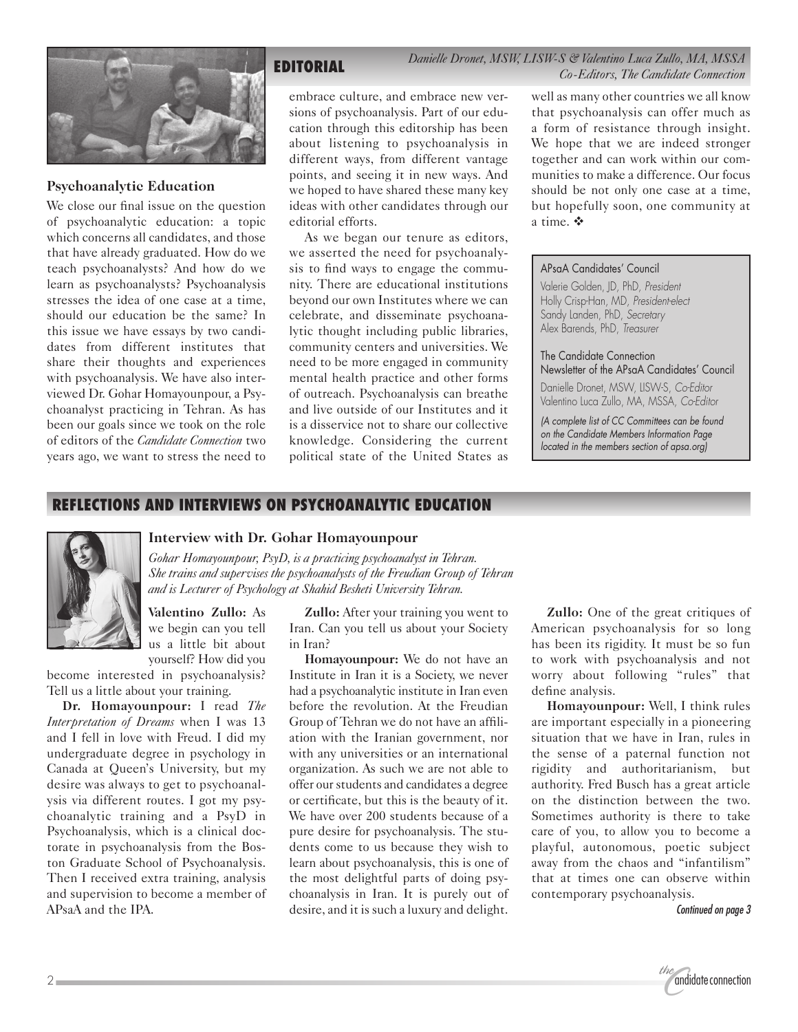

### **Psychoanalytic Education**

We close our final issue on the question of psychoanalytic education: a topic which concerns all candidates, and those that have already graduated. How do we teach psychoanalysts? And how do we learn as psychoanalysts? Psychoanalysis stresses the idea of one case at a time, should our education be the same? In this issue we have essays by two candidates from different institutes that share their thoughts and experiences with psychoanalysis. We have also interviewed Dr. Gohar Homayounpour, a Psychoanalyst practicing in Tehran. As has been our goals since we took on the role of editors of the *Candidate Connection* two years ago, we want to stress the need to

## **EDITORIAL** *Danielle Dronet, MSW, LISW-S & Valentino Luca Zullo, MA, MSSA Co-Editors, The Candidate Connection*

embrace culture, and embrace new versions of psychoanalysis. Part of our education through this editorship has been about listening to psychoanalysis in different ways, from different vantage points, and seeing it in new ways. And we hoped to have shared these many key ideas with other candidates through our editorial efforts.

As we began our tenure as editors, we asserted the need for psychoanalysis to find ways to engage the community. There are educational institutions beyond our own Institutes where we can celebrate, and disseminate psychoanalytic thought including public libraries, community centers and universities. We need to be more engaged in community mental health practice and other forms of outreach. Psychoanalysis can breathe and live outside of our Institutes and it is a disservice not to share our collective knowledge. Considering the current political state of the United States as well as many other countries we all know that psychoanalysis can offer much as a form of resistance through insight. We hope that we are indeed stronger together and can work within our communities to make a difference. Our focus should be not only one case at a time, but hopefully soon, one community at a time.  $\mathbf{\hat{v}}$ 

#### APsaA Candidates' Council

Valerie Golden, JD, PhD, *President* Holly Crisp-Han, MD, *President-elect* Sandy Landen, PhD, *Secretary* Alex Barends, PhD, *Treasurer*

The Candidate Connection Newsletter of the APsaA Candidates' Council Danielle Dronet, MSW, LISW-S, *Co-Editor* Valentino Luca Zullo, MA, MSSA, *Co-Editor*

*(A complete list of CC Committees can be found on the Candidate Members Information Page located in the members section of apsa.org)*

## **REFLECTIONS AND INTERVIEWS ON PSYCHOANALYTIC EDUCATION**



## **Interview with Dr. Gohar Homayounpour**

*Gohar Homayounpour, PsyD, is a practicing psychoanalyst in Tehran. She trains and supervises the psychoanalysts of the Freudian Group of Tehran and is Lecturer of Psychology at Shahid Besheti University Tehran.*

**Valentino Zullo:** As we begin can you tell us a little bit about yourself? How did you

become interested in psychoanalysis? Tell us a little about your training.

**Dr. Homayounpour:** I read *The Interpretation of Dreams* when I was 13 and I fell in love with Freud. I did my undergraduate degree in psychology in Canada at Queen's University, but my desire was always to get to psychoanalysis via different routes. I got my psychoanalytic training and a PsyD in Psychoanalysis, which is a clinical doctorate in psychoanalysis from the Boston Graduate School of Psychoanalysis. Then I received extra training, analysis and supervision to become a member of APsaA and the IPA.

**Zullo:** After your training you went to Iran. Can you tell us about your Society in Iran?

**Homayounpour:** We do not have an Institute in Iran it is a Society, we never had a psychoanalytic institute in Iran even before the revolution. At the Freudian Group of Tehran we do not have an affiliation with the Iranian government, nor with any universities or an international organization. As such we are not able to offer our students and candidates a degree or certificate, but this is the beauty of it. We have over 200 students because of a pure desire for psychoanalysis. The students come to us because they wish to learn about psychoanalysis, this is one of the most delightful parts of doing psychoanalysis in Iran. It is purely out of desire, and it is such a luxury and delight.

**Zullo:** One of the great critiques of American psychoanalysis for so long has been its rigidity. It must be so fun to work with psychoanalysis and not worry about following "rules" that define analysis.

**Homayounpour:** Well, I think rules are important especially in a pioneering situation that we have in Iran, rules in the sense of a paternal function not rigidity and authoritarianism, but authority. Fred Busch has a great article on the distinction between the two. Sometimes authority is there to take care of you, to allow you to become a playful, autonomous, poetic subject away from the chaos and "infantilism" that at times one can observe within contemporary psychoanalysis.

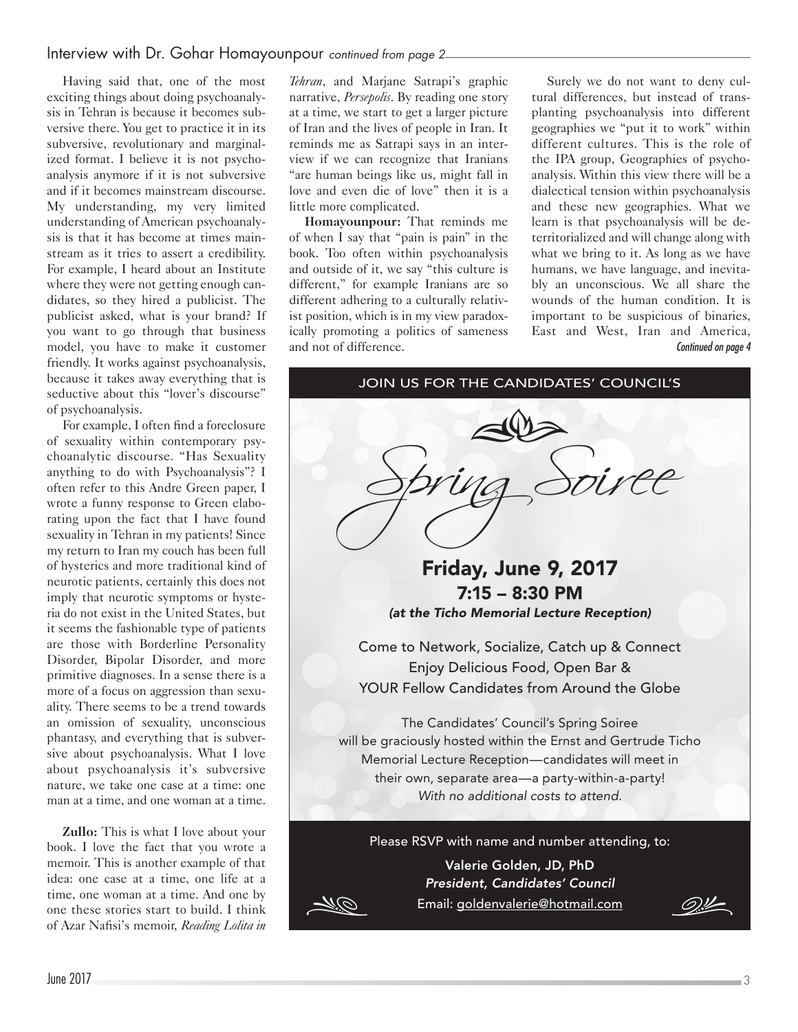## Interview with Dr. Gohar Homayounpour *continued from page 2*

Having said that, one of the most exciting things about doing psychoanalysis in Tehran is because it becomes subversive there. You get to practice it in its subversive, revolutionary and marginalized format. I believe it is not psychoanalysis anymore if it is not subversive and if it becomes mainstream discourse. My understanding, my very limited understanding of American psychoanalysis is that it has become at times mainstream as it tries to assert a credibility. For example, I heard about an Institute where they were not getting enough candidates, so they hired a publicist. The publicist asked, what is your brand? If you want to go through that business model, you have to make it customer friendly. It works against psychoanalysis, because it takes away everything that is seductive about this "lover's discourse" of psychoanalysis.

For example, I often find a foreclosure of sexuality within contemporary psychoanalytic discourse. "Has Sexuality anything to do with Psychoanalysis"? I often refer to this Andre Green paper, I wrote a funny response to Green elaborating upon the fact that I have found sexuality in Tehran in my patients! Since my return to Iran my couch has been full of hysterics and more traditional kind of neurotic patients, certainly this does not imply that neurotic symptoms or hysteria do not exist in the United States, but it seems the fashionable type of patients are those with Borderline Personality Disorder, Bipolar Disorder, and more primitive diagnoses. In a sense there is a more of a focus on aggression than sexuality. There seems to be a trend towards an omission of sexuality, unconscious phantasy, and everything that is subversive about psychoanalysis. What I love about psychoanalysis it's subversive nature, we take one case at a time: one man at a time, and one woman at a time.

**Zullo:** This is what I love about your book. I love the fact that you wrote a memoir. This is another example of that idea: one case at a time, one life at a time, one woman at a time. And one by one these stories start to build. I think of Azar Nafisi's memoir, *Reading Lolita in* 

*Tehran*, and Marjane Satrapi's graphic narrative, *Persepolis*. By reading one story at a time, we start to get a larger picture of Iran and the lives of people in Iran. It reminds me as Satrapi says in an interview if we can recognize that Iranians "are human beings like us, might fall in love and even die of love" then it is a little more complicated.

**Homayounpour:** That reminds me of when I say that "pain is pain" in the book. Too often within psychoanalysis and outside of it, we say "this culture is different," for example Iranians are so different adhering to a culturally relativist position, which is in my view paradoxically promoting a politics of sameness and not of difference.

Surely we do not want to deny cultural differences, but instead of transplanting psychoanalysis into different geographies we "put it to work" within different cultures. This is the role of the IPA group, Geographies of psychoanalysis. Within this view there will be a dialectical tension within psychoanalysis and these new geographies. What we learn is that psychoanalysis will be deterritorialized and will change along with what we bring to it. As long as we have humans, we have language, and inevitably an unconscious. We all share the wounds of the human condition. It is important to be suspicious of binaries, East and West, Iran and America, *Continued on page 4*

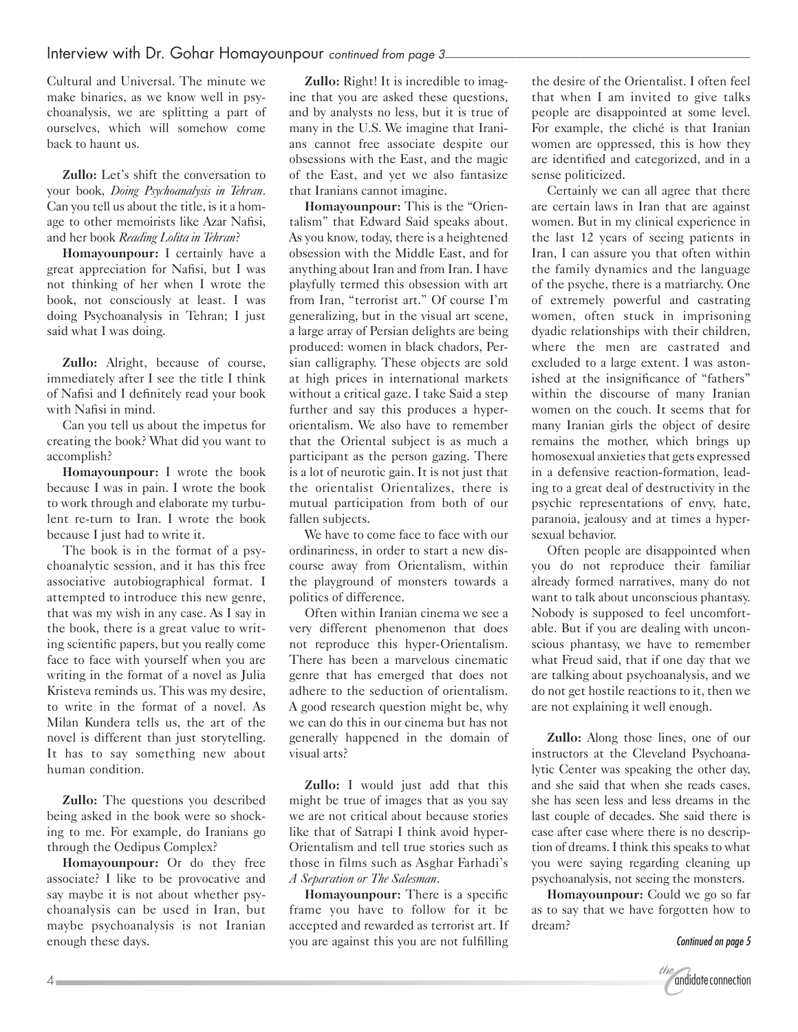Cultural and Universal. The minute we make binaries, as we know well in psychoanalysis, we are splitting a part of ourselves, which will somehow come back to haunt us.

**Zullo:** Let's shift the conversation to your book, *Doing Psychoanalysis in Tehran*. Can you tell us about the title, is it a homage to other memoirists like Azar Nafisi, and her book *Reading Lolita in Tehran*?

**Homayounpour:** I certainly have a great appreciation for Nafisi, but I was not thinking of her when I wrote the book, not consciously at least. I was doing Psychoanalysis in Tehran; I just said what I was doing.

**Zullo:** Alright, because of course, immediately after I see the title I think of Nafisi and I definitely read your book with Nafisi in mind.

Can you tell us about the impetus for creating the book? What did you want to accomplish?

**Homayounpour:** I wrote the book because I was in pain. I wrote the book to work through and elaborate my turbulent re-turn to Iran. I wrote the book because I just had to write it.

The book is in the format of a psychoanalytic session, and it has this free associative autobiographical format. I attempted to introduce this new genre, that was my wish in any case. As I say in the book, there is a great value to writing scientific papers, but you really come face to face with yourself when you are writing in the format of a novel as Julia Kristeva reminds us. This was my desire, to write in the format of a novel. As Milan Kundera tells us, the art of the novel is different than just storytelling. It has to say something new about human condition.

**Zullo:** The questions you described being asked in the book were so shocking to me. For example, do Iranians go through the Oedipus Complex?

**Homayounpour:** Or do they free associate? I like to be provocative and say maybe it is not about whether psychoanalysis can be used in Iran, but maybe psychoanalysis is not Iranian enough these days.

**Zullo:** Right! It is incredible to imagine that you are asked these questions, and by analysts no less, but it is true of many in the U.S. We imagine that Iranians cannot free associate despite our obsessions with the East, and the magic of the East, and yet we also fantasize that Iranians cannot imagine.

**Homayounpour:** This is the "Orientalism" that Edward Said speaks about. As you know, today, there is a heightened obsession with the Middle East, and for anything about Iran and from Iran. I have playfully termed this obsession with art from Iran, "terrorist art." Of course I'm generalizing, but in the visual art scene, a large array of Persian delights are being produced: women in black chadors, Persian calligraphy. These objects are sold at high prices in international markets without a critical gaze. I take Said a step further and say this produces a hyperorientalism. We also have to remember that the Oriental subject is as much a participant as the person gazing. There is a lot of neurotic gain. It is not just that the orientalist Orientalizes, there is mutual participation from both of our fallen subjects.

We have to come face to face with our ordinariness, in order to start a new discourse away from Orientalism, within the playground of monsters towards a politics of difference.

Often within Iranian cinema we see a very different phenomenon that does not reproduce this hyper-Orientalism. There has been a marvelous cinematic genre that has emerged that does not adhere to the seduction of orientalism. A good research question might be, why we can do this in our cinema but has not generally happened in the domain of visual arts?

**Zullo:** I would just add that this might be true of images that as you say we are not critical about because stories like that of Satrapi I think avoid hyper-Orientalism and tell true stories such as those in films such as Asghar Farhadi's *A Separation or The Salesman*.

**Homayounpour:** There is a specific frame you have to follow for it be accepted and rewarded as terrorist art. If you are against this you are not fulfilling the desire of the Orientalist. I often feel that when I am invited to give talks people are disappointed at some level. For example, the cliché is that Iranian women are oppressed, this is how they are identified and categorized, and in a sense politicized.

Certainly we can all agree that there are certain laws in Iran that are against women. But in my clinical experience in the last 12 years of seeing patients in Iran, I can assure you that often within the family dynamics and the language of the psyche, there is a matriarchy. One of extremely powerful and castrating women, often stuck in imprisoning dyadic relationships with their children, where the men are castrated and excluded to a large extent. I was astonished at the insignificance of "fathers" within the discourse of many Iranian women on the couch. It seems that for many Iranian girls the object of desire remains the mother, which brings up homosexual anxieties that gets expressed in a defensive reaction-formation, leading to a great deal of destructivity in the psychic representations of envy, hate, paranoia, jealousy and at times a hypersexual behavior.

Often people are disappointed when you do not reproduce their familiar already formed narratives, many do not want to talk about unconscious phantasy. Nobody is supposed to feel uncomfortable. But if you are dealing with unconscious phantasy, we have to remember what Freud said, that if one day that we are talking about psychoanalysis, and we do not get hostile reactions to it, then we are not explaining it well enough.

**Zullo:** Along those lines, one of our instructors at the Cleveland Psychoanalytic Center was speaking the other day, and she said that when she reads cases, she has seen less and less dreams in the last couple of decades. She said there is case after case where there is no description of dreams. I think this speaks to what you were saying regarding cleaning up psychoanalysis, not seeing the monsters.

**Homayounpour:** Could we go so far as to say that we have forgotten how to dream?

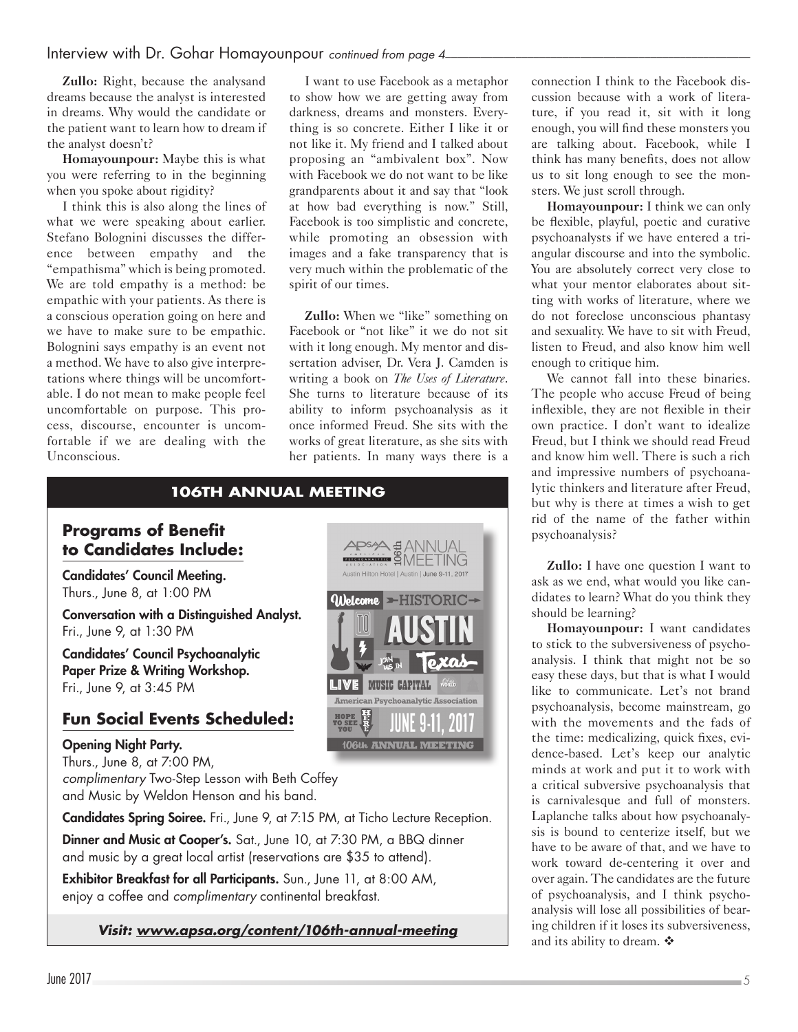## Interview with Dr. Gohar Homayounpour *continued from page 4*

**Zullo:** Right, because the analysand dreams because the analyst is interested in dreams. Why would the candidate or the patient want to learn how to dream if the analyst doesn't?

**Homayounpour:** Maybe this is what you were referring to in the beginning when you spoke about rigidity?

I think this is also along the lines of what we were speaking about earlier. Stefano Bolognini discusses the difference between empathy and the "empathisma" which is being promoted. We are told empathy is a method: be empathic with your patients. As there is a conscious operation going on here and we have to make sure to be empathic. Bolognini says empathy is an event not a method. We have to also give interpretations where things will be uncomfortable. I do not mean to make people feel uncomfortable on purpose. This process, discourse, encounter is uncomfortable if we are dealing with the Unconscious.

I want to use Facebook as a metaphor to show how we are getting away from darkness, dreams and monsters. Everything is so concrete. Either I like it or not like it. My friend and I talked about proposing an "ambivalent box". Now with Facebook we do not want to be like grandparents about it and say that "look at how bad everything is now." Still, Facebook is too simplistic and concrete, while promoting an obsession with images and a fake transparency that is very much within the problematic of the spirit of our times.

**Zullo:** When we "like" something on Facebook or "not like" it we do not sit with it long enough. My mentor and dissertation adviser, Dr. Vera J. Camden is writing a book on *The Uses of Literature*. She turns to literature because of its ability to inform psychoanalysis as it once informed Freud. She sits with the works of great literature, as she sits with her patients. In many ways there is a



Fri., June 9, at 1:30 PM

Candidates' Council Psychoanalytic Paper Prize & Writing Workshop. Fri., June 9, at 3:45 PM

# **Fun Social Events Scheduled:**

## Opening Night Party.

Thurs., June 8, at 7:00 PM,

*complimentary* Two-Step Lesson with Beth Coffey and Music by Weldon Henson and his band.

Candidates Spring Soiree. Fri., June 9, at 7:15 PM, at Ticho Lecture Reception.

Dinner and Music at Cooper's. Sat., June 10, at 7:30 PM, a BBQ dinner and music by a great local artist (reservations are \$35 to attend).

Exhibitor Breakfast for all Participants. Sun., June 11, at 8:00 AM, enjoy a coffee and *complimentary* continental breakfast.

*Visit: [www.apsa.org/content/106th-annual-meeting](http://www.apsa.org/content/106th-annual-meeting)*

APSA #ANNUAL<br><del>MIRINI</del> #ANNEETING Austin Hilton Hotel | Austin | June 9-11, 2017 *Oilelcome* ►HISTORIC→ LIVE MUSIC CAPITAL American Psychoanalytic Association 106th ANNUAL MEETING

connection I think to the Facebook discussion because with a work of literature, if you read it, sit with it long enough, you will find these monsters you are talking about. Facebook, while I think has many benefits, does not allow us to sit long enough to see the monsters. We just scroll through.

**Homayounpour:** I think we can only be flexible, playful, poetic and curative psychoanalysts if we have entered a triangular discourse and into the symbolic. You are absolutely correct very close to what your mentor elaborates about sitting with works of literature, where we do not foreclose unconscious phantasy and sexuality. We have to sit with Freud, listen to Freud, and also know him well enough to critique him.

We cannot fall into these binaries. The people who accuse Freud of being inflexible, they are not flexible in their own practice. I don't want to idealize Freud, but I think we should read Freud and know him well. There is such a rich and impressive numbers of psychoanalytic thinkers and literature after Freud, but why is there at times a wish to get rid of the name of the father within psychoanalysis?

**Zullo:** I have one question I want to ask as we end, what would you like candidates to learn? What do you think they should be learning?

**Homayounpour:** I want candidates to stick to the subversiveness of psychoanalysis. I think that might not be so easy these days, but that is what I would like to communicate. Let's not brand psychoanalysis, become mainstream, go with the movements and the fads of the time: medicalizing, quick fixes, evidence-based. Let's keep our analytic minds at work and put it to work with a critical subversive psychoanalysis that is carnivalesque and full of monsters. Laplanche talks about how psychoanalysis is bound to centerize itself, but we have to be aware of that, and we have to work toward de-centering it over and over again. The candidates are the future of psychoanalysis, and I think psychoanalysis will lose all possibilities of bearing children if it loses its subversiveness, and its ability to dream.  $\mathbf{\hat{*}}$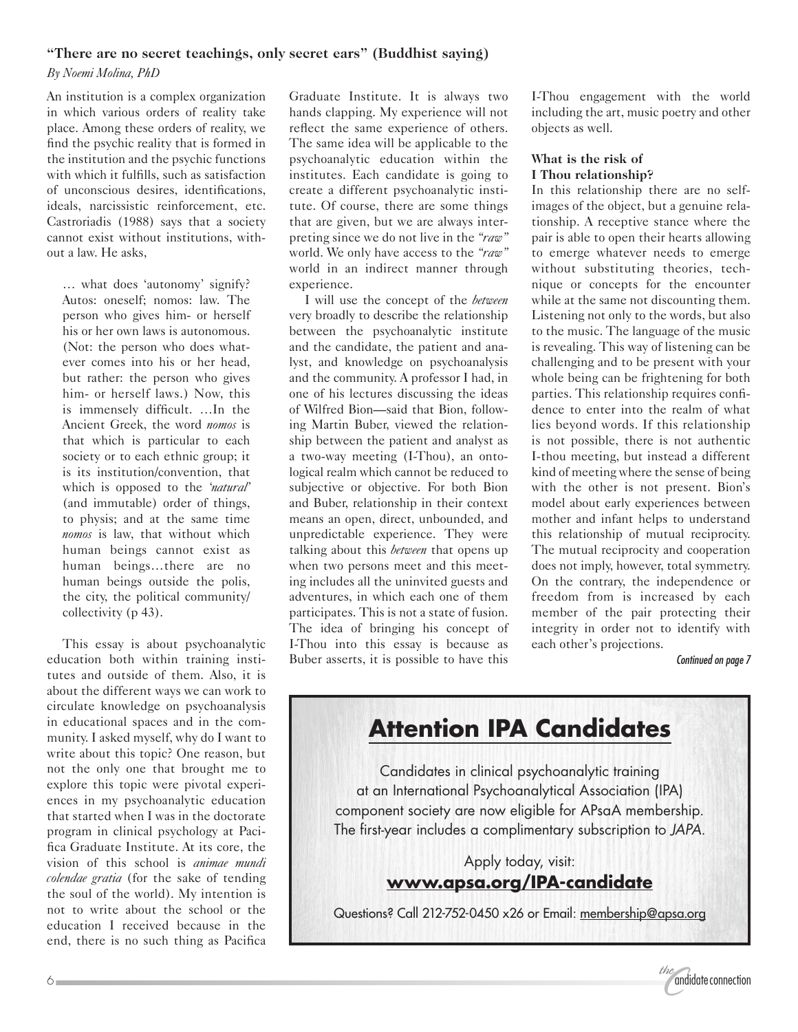#### **"There are no secret teachings, only secret ears" (Buddhist saying)**

*By Noemi Molina, PhD*

An institution is a complex organization in which various orders of reality take place. Among these orders of reality, we find the psychic reality that is formed in the institution and the psychic functions with which it fulfills, such as satisfaction of unconscious desires, identifications, ideals, narcissistic reinforcement, etc. Castroriadis (1988) says that a society cannot exist without institutions, without a law. He asks,

… what does 'autonomy' signify? Autos: oneself; nomos: law. The person who gives him- or herself his or her own laws is autonomous. (Not: the person who does whatever comes into his or her head, but rather: the person who gives him- or herself laws.) Now, this is immensely difficult. …In the Ancient Greek, the word *nomos* is that which is particular to each society or to each ethnic group; it is its institution/convention, that which is opposed to the *'natural'* (and immutable) order of things, to physis; and at the same time *nomos* is law, that without which human beings cannot exist as human beings…there are no human beings outside the polis, the city, the political community/ collectivity (p 43).

This essay is about psychoanalytic education both within training institutes and outside of them. Also, it is about the different ways we can work to circulate knowledge on psychoanalysis in educational spaces and in the community. I asked myself, why do I want to write about this topic? One reason, but not the only one that brought me to explore this topic were pivotal experiences in my psychoanalytic education that started when I was in the doctorate program in clinical psychology at Pacifica Graduate Institute. At its core, the vision of this school is *animae mundi colendae gratia* (for the sake of tending the soul of the world). My intention is not to write about the school or the education I received because in the end, there is no such thing as Pacifica

Graduate Institute. It is always two hands clapping. My experience will not reflect the same experience of others. The same idea will be applicable to the psychoanalytic education within the institutes. Each candidate is going to create a different psychoanalytic institute. Of course, there are some things that are given, but we are always interpreting since we do not live in the *"raw"* world. We only have access to the *"raw"* world in an indirect manner through experience.

I will use the concept of the *between* very broadly to describe the relationship between the psychoanalytic institute and the candidate, the patient and analyst, and knowledge on psychoanalysis and the community. A professor I had, in one of his lectures discussing the ideas of Wilfred Bion—said that Bion, following Martin Buber, viewed the relationship between the patient and analyst as a two-way meeting (I-Thou), an ontological realm which cannot be reduced to subjective or objective. For both Bion and Buber, relationship in their context means an open, direct, unbounded, and unpredictable experience. They were talking about this *between* that opens up when two persons meet and this meeting includes all the uninvited guests and adventures, in which each one of them participates. This is not a state of fusion. The idea of bringing his concept of I-Thou into this essay is because as Buber asserts, it is possible to have this I-Thou engagement with the world including the art, music poetry and other objects as well.

## **What is the risk of I Thou relationship?**

In this relationship there are no selfimages of the object, but a genuine relationship. A receptive stance where the pair is able to open their hearts allowing to emerge whatever needs to emerge without substituting theories, technique or concepts for the encounter while at the same not discounting them. Listening not only to the words, but also to the music. The language of the music is revealing. This way of listening can be challenging and to be present with your whole being can be frightening for both parties. This relationship requires confidence to enter into the realm of what lies beyond words. If this relationship is not possible, there is not authentic I-thou meeting, but instead a different kind of meeting where the sense of being with the other is not present. Bion's model about early experiences between mother and infant helps to understand this relationship of mutual reciprocity. The mutual reciprocity and cooperation does not imply, however, total symmetry. On the contrary, the independence or freedom from is increased by each member of the pair protecting their integrity in order not to identify with each other's projections.

*Continued on page 7*



component society are now eligible for APsaA membership. The first-year includes a complimentary subscription to *JAPA*.

> Apply today, visit: **[www.apsa.org/IPA-candidate](http://www.apsa.org/IPA-candidate)**

Questions? Call 212-752-0450 x26 or Email: [membership@apsa.org](mailto:membership%40apsa.org?subject=)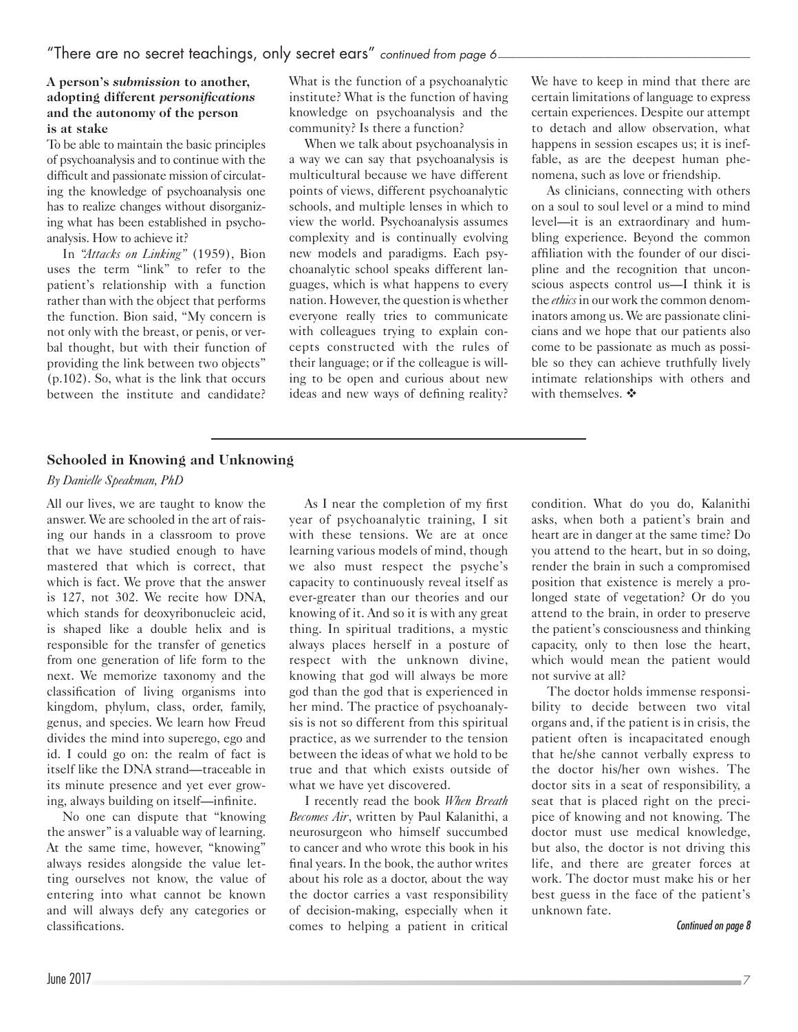#### **A person's** *submission* **to another, adopting different** *personifications* **and the autonomy of the person is at stake**

To be able to maintain the basic principles of psychoanalysis and to continue with the difficult and passionate mission of circulating the knowledge of psychoanalysis one has to realize changes without disorganizing what has been established in psychoanalysis. How to achieve it?

In *"Attacks on Linking"* (1959), Bion uses the term "link" to refer to the patient's relationship with a function rather than with the object that performs the function. Bion said, "My concern is not only with the breast, or penis, or verbal thought, but with their function of providing the link between two objects" (p.102). So, what is the link that occurs between the institute and candidate? What is the function of a psychoanalytic institute? What is the function of having knowledge on psychoanalysis and the community? Is there a function?

When we talk about psychoanalysis in a way we can say that psychoanalysis is multicultural because we have different points of views, different psychoanalytic schools, and multiple lenses in which to view the world. Psychoanalysis assumes complexity and is continually evolving new models and paradigms. Each psychoanalytic school speaks different languages, which is what happens to every nation. However, the question is whether everyone really tries to communicate with colleagues trying to explain concepts constructed with the rules of their language; or if the colleague is willing to be open and curious about new ideas and new ways of defining reality? We have to keep in mind that there are certain limitations of language to express certain experiences. Despite our attempt to detach and allow observation, what happens in session escapes us; it is ineffable, as are the deepest human phenomena, such as love or friendship.

As clinicians, connecting with others on a soul to soul level or a mind to mind level—it is an extraordinary and humbling experience. Beyond the common affiliation with the founder of our discipline and the recognition that unconscious aspects control us—I think it is the *ethics* in our work the common denominators among us. We are passionate clinicians and we hope that our patients also come to be passionate as much as possible so they can achieve truthfully lively intimate relationships with others and with themselves.  $\mathbf{\hat{*}}$ 

## **Schooled in Knowing and Unknowing**

### *By Danielle Speakman, PhD*

All our lives, we are taught to know the answer. We are schooled in the art of raising our hands in a classroom to prove that we have studied enough to have mastered that which is correct, that which is fact. We prove that the answer is 127, not 302. We recite how DNA, which stands for deoxyribonucleic acid, is shaped like a double helix and is responsible for the transfer of genetics from one generation of life form to the next. We memorize taxonomy and the classification of living organisms into kingdom, phylum, class, order, family, genus, and species. We learn how Freud divides the mind into superego, ego and id. I could go on: the realm of fact is itself like the DNA strand—traceable in its minute presence and yet ever growing, always building on itself—infinite.

No one can dispute that "knowing the answer" is a valuable way of learning. At the same time, however, "knowing" always resides alongside the value letting ourselves not know, the value of entering into what cannot be known and will always defy any categories or classifications.

As I near the completion of my first year of psychoanalytic training, I sit with these tensions. We are at once learning various models of mind, though we also must respect the psyche's capacity to continuously reveal itself as ever-greater than our theories and our knowing of it. And so it is with any great thing. In spiritual traditions, a mystic always places herself in a posture of respect with the unknown divine, knowing that god will always be more god than the god that is experienced in her mind. The practice of psychoanalysis is not so different from this spiritual practice, as we surrender to the tension between the ideas of what we hold to be true and that which exists outside of what we have yet discovered.

I recently read the book *When Breath Becomes Air*, written by Paul Kalanithi, a neurosurgeon who himself succumbed to cancer and who wrote this book in his final years. In the book, the author writes about his role as a doctor, about the way the doctor carries a vast responsibility of decision-making, especially when it comes to helping a patient in critical condition. What do you do, Kalanithi asks, when both a patient's brain and heart are in danger at the same time? Do you attend to the heart, but in so doing, render the brain in such a compromised position that existence is merely a prolonged state of vegetation? Or do you attend to the brain, in order to preserve the patient's consciousness and thinking capacity, only to then lose the heart, which would mean the patient would not survive at all?

The doctor holds immense responsibility to decide between two vital organs and, if the patient is in crisis, the patient often is incapacitated enough that he/she cannot verbally express to the doctor his/her own wishes. The doctor sits in a seat of responsibility, a seat that is placed right on the precipice of knowing and not knowing. The doctor must use medical knowledge, but also, the doctor is not driving this life, and there are greater forces at work. The doctor must make his or her best guess in the face of the patient's unknown fate.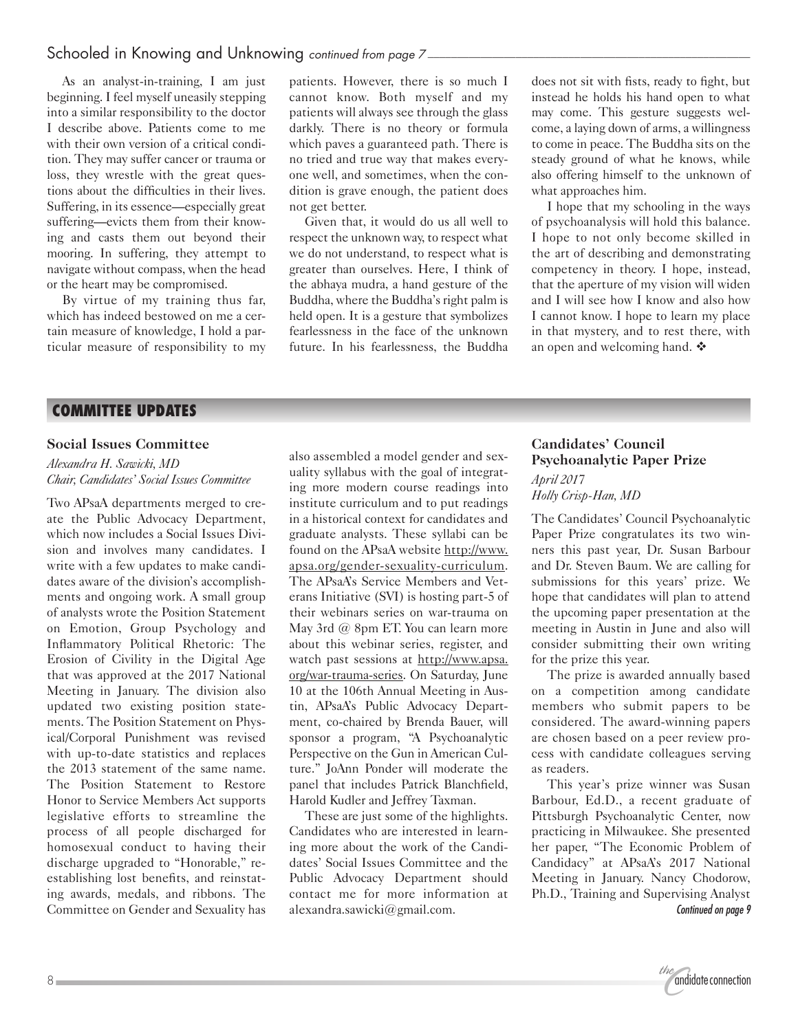## Schooled in Knowing and Unknowing *continued from page 7*

As an analyst-in-training, I am just beginning. I feel myself uneasily stepping into a similar responsibility to the doctor I describe above. Patients come to me with their own version of a critical condition. They may suffer cancer or trauma or loss, they wrestle with the great questions about the difficulties in their lives. Suffering, in its essence—especially great suffering—evicts them from their knowing and casts them out beyond their mooring. In suffering, they attempt to navigate without compass, when the head or the heart may be compromised.

By virtue of my training thus far, which has indeed bestowed on me a certain measure of knowledge, I hold a particular measure of responsibility to my

patients. However, there is so much I cannot know. Both myself and my patients will always see through the glass darkly. There is no theory or formula which paves a guaranteed path. There is no tried and true way that makes everyone well, and sometimes, when the condition is grave enough, the patient does not get better.

Given that, it would do us all well to respect the unknown way, to respect what we do not understand, to respect what is greater than ourselves. Here, I think of the abhaya mudra, a hand gesture of the Buddha, where the Buddha's right palm is held open. It is a gesture that symbolizes fearlessness in the face of the unknown future. In his fearlessness, the Buddha does not sit with fists, ready to fight, but instead he holds his hand open to what may come. This gesture suggests welcome, a laying down of arms, a willingness to come in peace. The Buddha sits on the steady ground of what he knows, while also offering himself to the unknown of what approaches him.

I hope that my schooling in the ways of psychoanalysis will hold this balance. I hope to not only become skilled in the art of describing and demonstrating competency in theory. I hope, instead, that the aperture of my vision will widen and I will see how I know and also how I cannot know. I hope to learn my place in that mystery, and to rest there, with an open and welcoming hand.  $\cdot$ 

## **COMMITTEE UPDATES**

#### **Social Issues Committee**

#### *Alexandra H. Sawicki, MD Chair, Candidates' Social Issues Committee*

Two APsaA departments merged to create the Public Advocacy Department, which now includes a Social Issues Division and involves many candidates. I write with a few updates to make candidates aware of the division's accomplishments and ongoing work. A small group of analysts wrote the Position Statement on Emotion, Group Psychology and Inflammatory Political Rhetoric: The Erosion of Civility in the Digital Age that was approved at the 2017 National Meeting in January. The division also updated two existing position statements. The Position Statement on Physical/Corporal Punishment was revised with up-to-date statistics and replaces the 2013 statement of the same name. The Position Statement to Restore Honor to Service Members Act supports legislative efforts to streamline the process of all people discharged for homosexual conduct to having their discharge upgraded to "Honorable," reestablishing lost benefits, and reinstating awards, medals, and ribbons. The Committee on Gender and Sexuality has

also assembled a model gender and sexuality syllabus with the goal of integrating more modern course readings into institute curriculum and to put readings in a historical context for candidates and graduate analysts. These syllabi can be found on the APsaA website [http://www.](http://www.apsa.org/gender-sexuality-curriculum) [apsa.org/gender-sexuality-curriculum](http://www.apsa.org/gender-sexuality-curriculum). The APsaA's Service Members and Veterans Initiative (SVI) is hosting part-5 of their webinars series on war-trauma on May 3rd @ 8pm ET. You can learn more about this webinar series, register, and watch past sessions at [http://www.apsa.](http://www.apsa.org/war-trauma-series) [org/war-trauma-series](http://www.apsa.org/war-trauma-series). On Saturday, June 10 at the 106th Annual Meeting in Austin, APsaA's Public Advocacy Department, co-chaired by Brenda Bauer, will sponsor a program, "A Psychoanalytic Perspective on the Gun in American Culture." JoAnn Ponder will moderate the panel that includes Patrick Blanchfield, Harold Kudler and Jeffrey Taxman.

These are just some of the highlights. Candidates who are interested in learning more about the work of the Candidates' Social Issues Committee and the Public Advocacy Department should contact me for more information at [alexandra.sawicki@gmail.com](mailto:alexandra.sawicki@gmail.com).

## **Candidates' Council Psychoanalytic Paper Prize** *April 2017*

*Holly Crisp-Han, MD*

The Candidates' Council Psychoanalytic Paper Prize congratulates its two winners this past year, Dr. Susan Barbour and Dr. Steven Baum. We are calling for submissions for this years' prize. We hope that candidates will plan to attend the upcoming paper presentation at the meeting in Austin in June and also will consider submitting their own writing for the prize this year.

The prize is awarded annually based on a competition among candidate members who submit papers to be considered. The award-winning papers are chosen based on a peer review process with candidate colleagues serving as readers.

*Continued on page 9* This year's prize winner was Susan Barbour, Ed.D., a recent graduate of Pittsburgh Psychoanalytic Center, now practicing in Milwaukee. She presented her paper, "The Economic Problem of Candidacy" at APsaA's 2017 National Meeting in January. Nancy Chodorow, Ph.D., Training and Supervising Analyst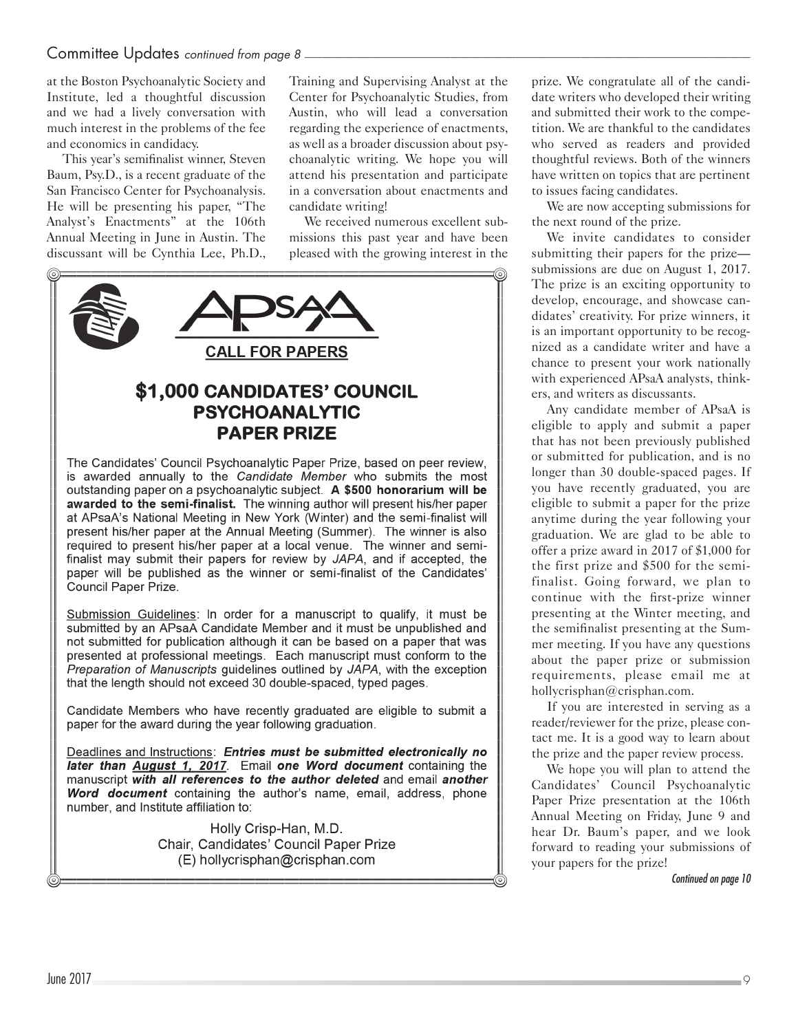## Committee Updates *continued from page 8*

at the Boston Psychoanalytic Society and Institute, led a thoughtful discussion and we had a lively conversation with much interest in the problems of the fee and economics in candidacy.

This year's semifinalist winner, Steven Baum, Psy.D., is a recent graduate of the San Francisco Center for Psychoanalysis. He will be presenting his paper, "The Analyst's Enactments" at the 106th Annual Meeting in June in Austin. The discussant will be Cynthia Lee, Ph.D.,

Training and Supervising Analyst at the Center for Psychoanalytic Studies, from Austin, who will lead a conversation regarding the experience of enactments, as well as a broader discussion about psychoanalytic writing. We hope you will attend his presentation and participate in a conversation about enactments and candidate writing!

We received numerous excellent submissions this past year and have been pleased with the growing interest in the



Chair, Candidates' Council Paper Prize (E) hollycrisphan@crisphan.com

prize. We congratulate all of the candidate writers who developed their writing and submitted their work to the competition. We are thankful to the candidates who served as readers and provided thoughtful reviews. Both of the winners have written on topics that are pertinent to issues facing candidates.

We are now accepting submissions for the next round of the prize.

We invite candidates to consider submitting their papers for the prize submissions are due on August 1, 2017. The prize is an exciting opportunity to develop, encourage, and showcase candidates' creativity. For prize winners, it is an important opportunity to be recognized as a candidate writer and have a chance to present your work nationally with experienced APsaA analysts, thinkers, and writers as discussants.

Any candidate member of APsaA is eligible to apply and submit a paper that has not been previously published or submitted for publication, and is no longer than 30 double-spaced pages. If you have recently graduated, you are eligible to submit a paper for the prize anytime during the year following your graduation. We are glad to be able to offer a prize award in 2017 of \$1,000 for the first prize and \$500 for the semifinalist. Going forward, we plan to continue with the first-prize winner presenting at the Winter meeting, and the semifinalist presenting at the Summer meeting. If you have any questions about the paper prize or submission requirements, please email me at [hollycrisphan@crisphan.com](mailto:hollycrisphan@crisphan.com).

If you are interested in serving as a reader/reviewer for the prize, please contact me. It is a good way to learn about the prize and the paper review process.

We hope you will plan to attend the Candidates' Council Psychoanalytic Paper Prize presentation at the 106th Annual Meeting on Friday, June 9 and hear Dr. Baum's paper, and we look forward to reading your submissions of your papers for the prize!